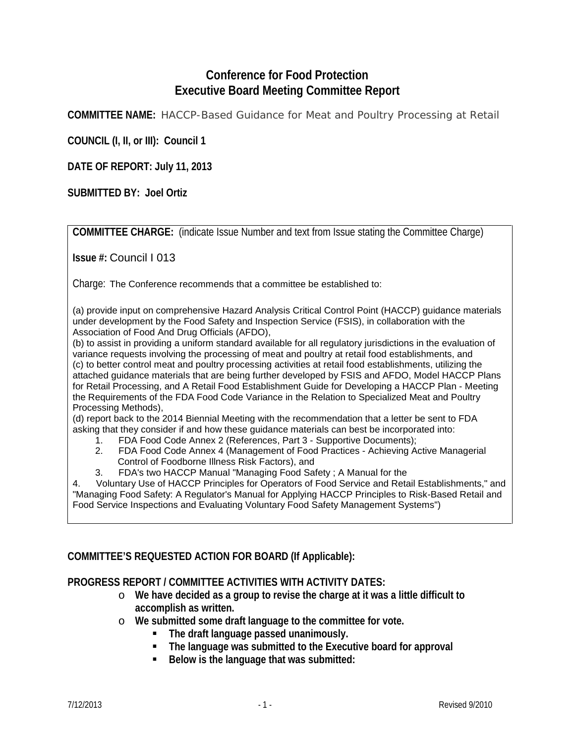## **Conference for Food Protection Executive Board Meeting Committee Report**

**COMMITTEE NAME:** HACCP-Based Guidance for Meat and Poultry Processing at Retail

**COUNCIL (I, II, or III): Council 1**

**DATE OF REPORT: July 11, 2013**

**SUBMITTED BY: Joel Ortiz**

**COMMITTEE CHARGE:** (indicate Issue Number and text from Issue stating the Committee Charge)

**Issue #:** Council I 013

Charge: The Conference recommends that a committee be established to:

(a) provide input on comprehensive Hazard Analysis Critical Control Point (HACCP) guidance materials under development by the Food Safety and Inspection Service (FSIS), in collaboration with the Association of Food And Drug Officials (AFDO),

(b) to assist in providing a uniform standard available for all regulatory jurisdictions in the evaluation of variance requests involving the processing of meat and poultry at retail food establishments, and (c) to better control meat and poultry processing activities at retail food establishments, utilizing the attached guidance materials that are being further developed by FSIS and AFDO, Model HACCP Plans for Retail Processing, and A Retail Food Establishment Guide for Developing a HACCP Plan - Meeting the Requirements of the FDA Food Code Variance in the Relation to Specialized Meat and Poultry Processing Methods),

(d) report back to the 2014 Biennial Meeting with the recommendation that a letter be sent to FDA asking that they consider if and how these guidance materials can best be incorporated into:<br>1. FDA Food Code Annex 2 (References, Part 3 - Supportive Documents):

- 1. FDA Food Code Annex 2 (References, Part 3 Supportive Documents);
- 2. FDA Food Code Annex 4 (Management of Food Practices Achieving Active Managerial Control of Foodborne Illness Risk Factors), and
- 3. FDA's two HACCP Manual "Managing Food Safety ; A Manual for the

4. Voluntary Use of HACCP Principles for Operators of Food Service and Retail Establishments," and "Managing Food Safety: A Regulator's Manual for Applying HACCP Principles to Risk-Based Retail and Food Service Inspections and Evaluating Voluntary Food Safety Management Systems")

## **COMMITTEE'S REQUESTED ACTION FOR BOARD (If Applicable):**

## **PROGRESS REPORT / COMMITTEE ACTIVITIES WITH ACTIVITY DATES:**

- o **We have decided as a group to revise the charge at it was a little difficult to accomplish as written.**
- o **We submitted some draft language to the committee for vote.**
	- **The draft language passed unanimously.**
	- **The language was submitted to the Executive board for approval**
	- **Below is the language that was submitted:**